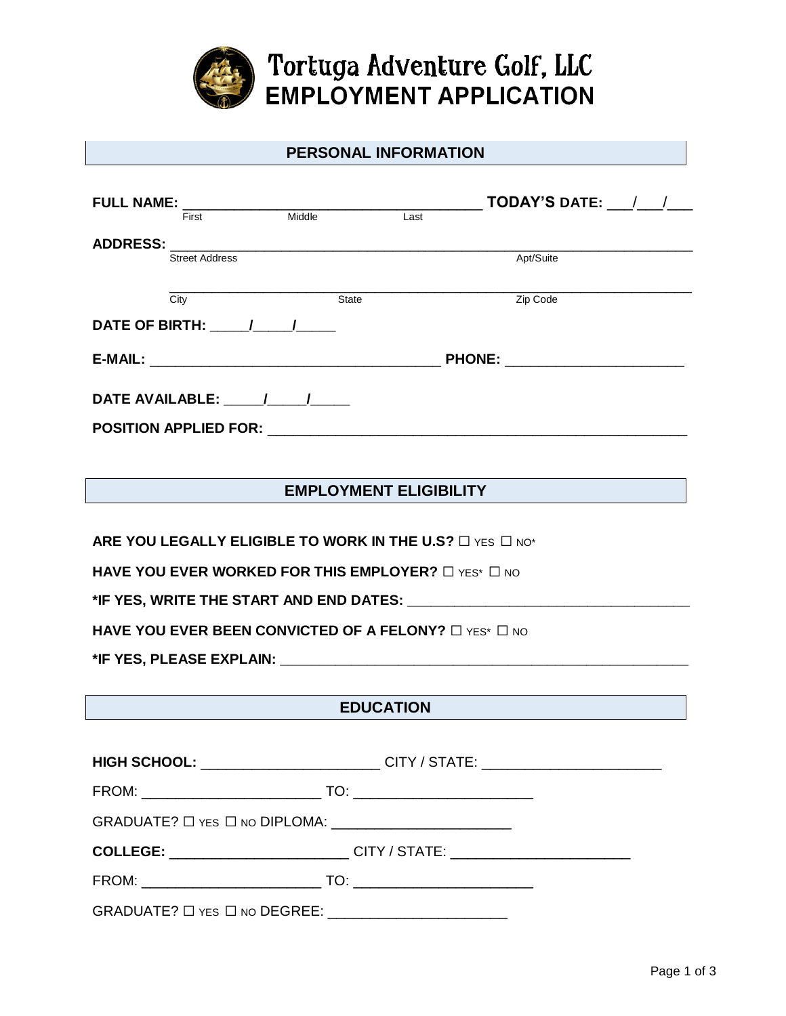

|                                                                                                                                                                                                                                | <b>PERSONAL INFORMATION</b>         |        |              |      |                          |  |  |
|--------------------------------------------------------------------------------------------------------------------------------------------------------------------------------------------------------------------------------|-------------------------------------|--------|--------------|------|--------------------------|--|--|
|                                                                                                                                                                                                                                | <b>FULL NAME:</b>                   |        |              |      | <b>TODAY'S DATE:</b> / / |  |  |
|                                                                                                                                                                                                                                | First                               | Middle |              | Last |                          |  |  |
| <b>ADDRESS:</b>                                                                                                                                                                                                                |                                     |        |              |      |                          |  |  |
|                                                                                                                                                                                                                                | <b>Street Address</b>               |        |              |      | Apt/Suite                |  |  |
|                                                                                                                                                                                                                                |                                     |        |              |      |                          |  |  |
|                                                                                                                                                                                                                                | City                                |        | <b>State</b> |      | Zip Code                 |  |  |
|                                                                                                                                                                                                                                | DATE OF BIRTH: $\frac{1}{\sqrt{2}}$ |        |              |      |                          |  |  |
|                                                                                                                                                                                                                                |                                     |        |              |      |                          |  |  |
|                                                                                                                                                                                                                                |                                     |        |              |      |                          |  |  |
| POSITION APPLIED FOR: the contract of the contract of the contract of the contract of the contract of the contract of the contract of the contract of the contract of the contract of the contract of the contract of the cont |                                     |        |              |      |                          |  |  |

## **EMPLOYMENT ELIGIBILITY**

**ARE YOU LEGALLY ELIGIBLE TO WORK IN THE U.S?** □ YES □ NO\*

**HAVE YOU EVER WORKED FOR THIS EMPLOYER?** □ YES\* □ NO

**\*IF YES, WRITE THE START AND END DATES: \_\_\_\_\_\_\_\_\_\_\_\_\_\_\_\_\_\_\_\_\_\_\_\_\_\_\_\_\_\_\_\_\_\_\_\_**

**HAVE YOU EVER BEEN CONVICTED OF A FELONY?** □ YES<sup>\*</sup> □ NO

**\*IF YES, PLEASE EXPLAIN: \_\_\_\_\_\_\_\_\_\_\_\_\_\_\_\_\_\_\_\_\_\_\_\_\_\_\_\_\_\_\_\_\_\_\_\_\_\_\_\_\_\_\_\_\_\_\_\_\_\_\_\_**

## **EDUCATION**

|                                                                           | HIGH SCHOOL: ________________________CITY / STATE: _____________________________ |
|---------------------------------------------------------------------------|----------------------------------------------------------------------------------|
|                                                                           |                                                                                  |
| $GRADUATE? \Box$ Yes $\Box$ No DIPLOMA: _________________________         |                                                                                  |
|                                                                           | COLLEGE: ____________________________CITY / STATE: _____________________________ |
| <u> 1989 - Johann Stein, mars an t-Amerikaansk kommunister (</u><br>FROM: | $\overline{TO:$                                                                  |

GRADUATE? ☐ YES ☐ NO DEGREE: \_\_\_\_\_\_\_\_\_\_\_\_\_\_\_\_\_\_\_\_\_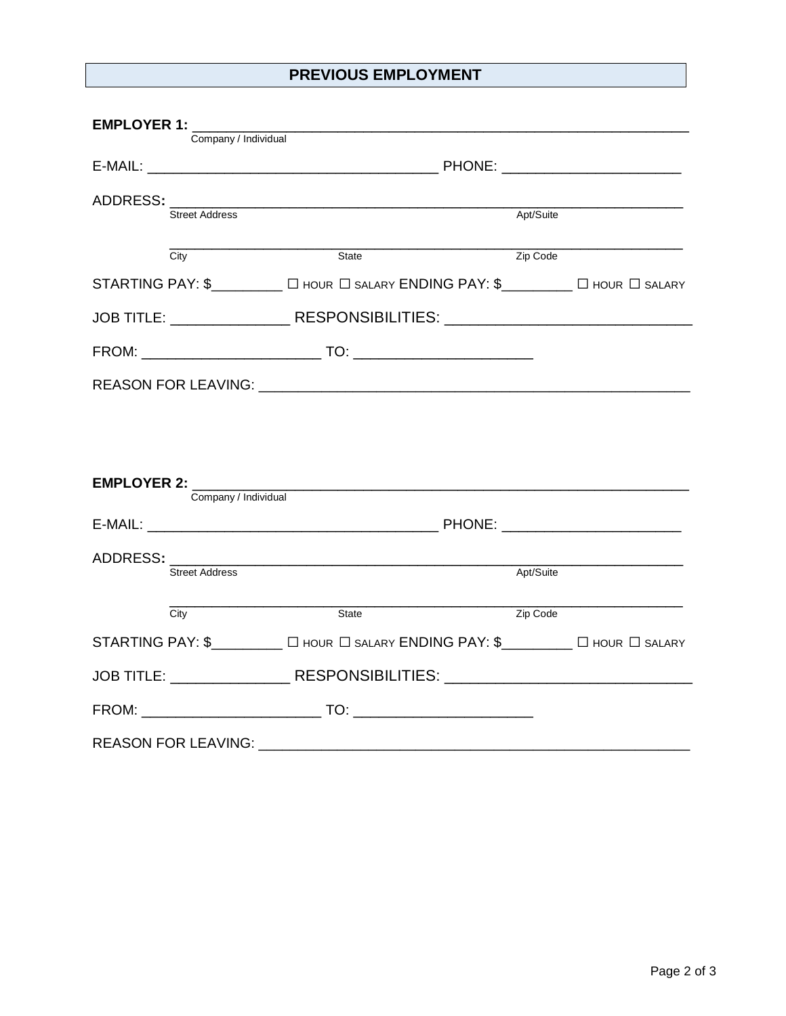## **PREVIOUS EMPLOYMENT**

| EMPLOYER 1: _______               |                                                                                  |           |  |
|-----------------------------------|----------------------------------------------------------------------------------|-----------|--|
| Company / Individual              |                                                                                  |           |  |
|                                   | ADDRESS: Street Address                                                          | Apt/Suite |  |
| City                              | State                                                                            | Zip Code  |  |
|                                   | STARTING PAY: \$_________ O HOUR O SALARY ENDING PAY: \$_______ O HOUR O SALARY  |           |  |
|                                   | JOB TITLE: ____________________RESPONSIBILITIES: _______________________________ |           |  |
|                                   |                                                                                  |           |  |
|                                   |                                                                                  |           |  |
|                                   |                                                                                  |           |  |
|                                   |                                                                                  |           |  |
| EMPLOYER 2: ______                | <u> 1980 - Johann Stoff, amerikansk politiker (d. 1980)</u>                      |           |  |
| Company / Individual              |                                                                                  |           |  |
|                                   |                                                                                  |           |  |
| <b>Street Address</b>             |                                                                                  | Apt/Suite |  |
| City                              | State                                                                            | Zip Code  |  |
|                                   | STARTING PAY: \$_________ O HOUR O SALARY ENDING PAY: \$________ O HOUR O SALARY |           |  |
|                                   | JOB TITLE: RESPONSIBILITIES: NESPONSIBILITIES:                                   |           |  |
|                                   |                                                                                  |           |  |
| REASON FOR LEAVING: _____________ |                                                                                  |           |  |